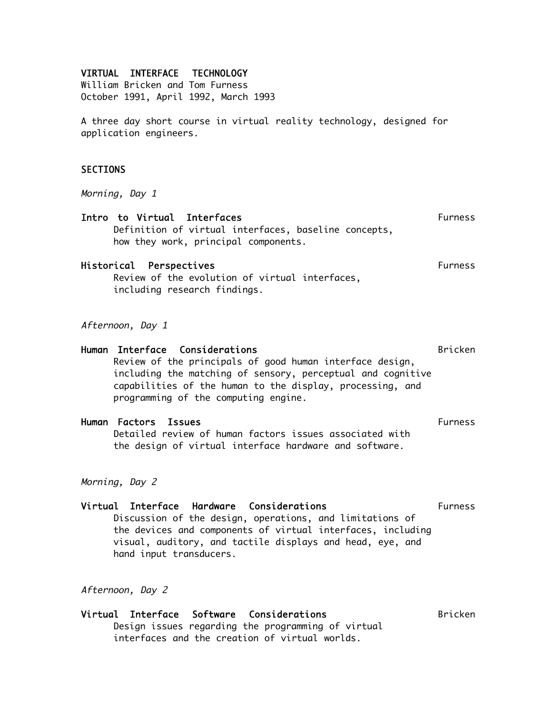#### VIRTUAL INTERFACE TECHNOLOGY

William Bricken and Tom Furness October 1991, April 1992, March 1993

A three day short course in virtual reality technology, designed for application engineers.

#### **SECTIONS**

Morning, Day 1

| Intro to Virtual Interfaces |                                                                                              | Furness |
|-----------------------------|----------------------------------------------------------------------------------------------|---------|
|                             | Definition of virtual interfaces, baseline concepts,<br>how they work, principal components. |         |
|                             |                                                                                              |         |

# Historical Perspectives **Furness** Furness

Review of the evolution of virtual interfaces, including research findings.

Afternoon, Day 1

| Human Interface Considerations                                                                                                                                                                                                    | Bricken        |
|-----------------------------------------------------------------------------------------------------------------------------------------------------------------------------------------------------------------------------------|----------------|
| Review of the principals of good human interface design,<br>including the matching of sensory, perceptual and cognitive<br>capabilities of the human to the display, processing, and<br>programming of the computing engine.      |                |
| Human Factors Issues                                                                                                                                                                                                              | <b>Furness</b> |
| Detailed review of human factors issues associated with<br>the design of virtual interface hardware and software.                                                                                                                 |                |
| Morning, Day 2                                                                                                                                                                                                                    |                |
| Virtual Interface Hardware Considerations<br>Discussion of the design, operations, and limitations of<br>the devices and components of virtual interfaces, including<br>visual, auditory, and tactile displays and head, eye, and | <b>Furness</b> |

hand input transducers.

### Afternoon, Day 2

#### Virtual Interface Software Considerations and Bricken Design issues regarding the programming of virtual interfaces and the creation of virtual worlds.